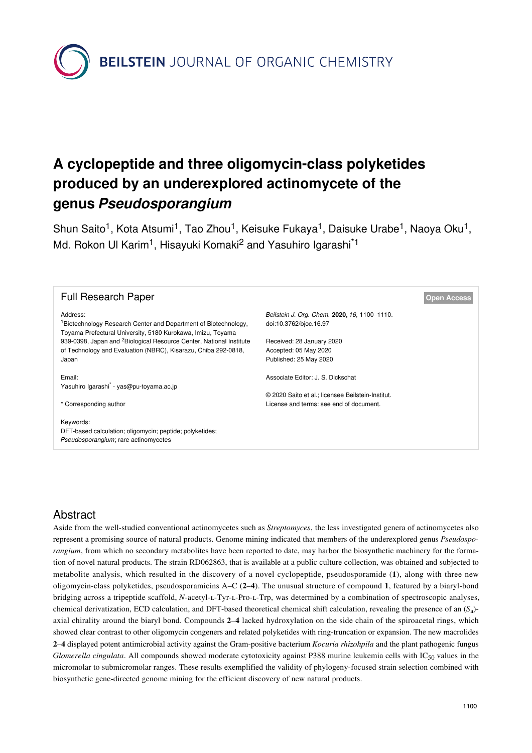**BEILSTEIN** JOURNAL OF ORGANIC CHEMISTRY

# **A cyclopeptide and three oligomycin-class polyketides produced by an underexplored actinomycete of the genus** *Pseudosporangium*

Shun Saito<sup>1</sup>, Kota Atsumi<sup>1</sup>, Tao Zhou<sup>1</sup>, Keisuke Fukaya<sup>1</sup>, Daisuke Urabe<sup>1</sup>, Naoya Oku<sup>1</sup>, Md. Rokon Ul Karim<sup>1</sup>, Hisayuki Komaki<sup>2</sup> and Yasuhiro Igarashi<sup>\*1</sup>

| <b>Full Research Paper</b>                                                                                                                             |                                                                        | <b>Open Access</b> |
|--------------------------------------------------------------------------------------------------------------------------------------------------------|------------------------------------------------------------------------|--------------------|
| Address:<br><sup>1</sup> Biotechnology Research Center and Department of Biotechnology,<br>Toyama Prefectural University, 5180 Kurokawa, Imizu, Toyama | Beilstein J. Org. Chem. 2020, 16, 1100-1110.<br>doi:10.3762/bjoc.16.97 |                    |
| 939-0398, Japan and <sup>2</sup> Biological Resource Center, National Institute                                                                        | Received: 28 January 2020                                              |                    |
| of Technology and Evaluation (NBRC), Kisarazu, Chiba 292-0818,                                                                                         | Accepted: 05 May 2020                                                  |                    |
| Japan                                                                                                                                                  | Published: 25 May 2020                                                 |                    |
| Email:<br>Yasuhiro Igarashi <sup>*</sup> - yas@pu-toyama.ac.jp                                                                                         | Associate Editor: J. S. Dickschat                                      |                    |
|                                                                                                                                                        | © 2020 Saito et al.; licensee Beilstein-Institut.                      |                    |
| * Corresponding author                                                                                                                                 | License and terms: see end of document.                                |                    |
| Keywords:<br>DFT-based calculation; oligomycin; peptide; polyketides;<br>Pseudosporangium; rare actinomycetes                                          |                                                                        |                    |

# Abstract

Aside from the well-studied conventional actinomycetes such as *Streptomyces*, the less investigated genera of actinomycetes also represent a promising source of natural products. Genome mining indicated that members of the underexplored genus *Pseudosporangium*, from which no secondary metabolites have been reported to date, may harbor the biosynthetic machinery for the formation of novel natural products. The strain RD062863, that is available at a public culture collection, was obtained and subjected to metabolite analysis, which resulted in the discovery of a novel cyclopeptide, pseudosporamide (**1**), along with three new oligomycin-class polyketides, pseudosporamicins A–C (**2**–**4**). The unusual structure of compound **1**, featured by a biaryl-bond bridging across a tripeptide scaffold, *N*-acetyl-L-Tyr-L-Pro-L-Trp, was determined by a combination of spectroscopic analyses, chemical derivatization, ECD calculation, and DFT-based theoretical chemical shift calculation, revealing the presence of an (*S*<sup>a</sup> ) axial chirality around the biaryl bond. Compounds **2**–**4** lacked hydroxylation on the side chain of the spiroacetal rings, which showed clear contrast to other oligomycin congeners and related polyketides with ring-truncation or expansion. The new macrolides **2**–**4** displayed potent antimicrobial activity against the Gram-positive bacterium *Kocuria rhizohpila* and the plant pathogenic fungus *Glomerella cingulata*. All compounds showed moderate cytotoxicity against P388 murine leukemia cells with IC<sub>50</sub> values in the micromolar to submicromolar ranges. These results exemplified the validity of phylogeny-focused strain selection combined with biosynthetic gene-directed genome mining for the efficient discovery of new natural products.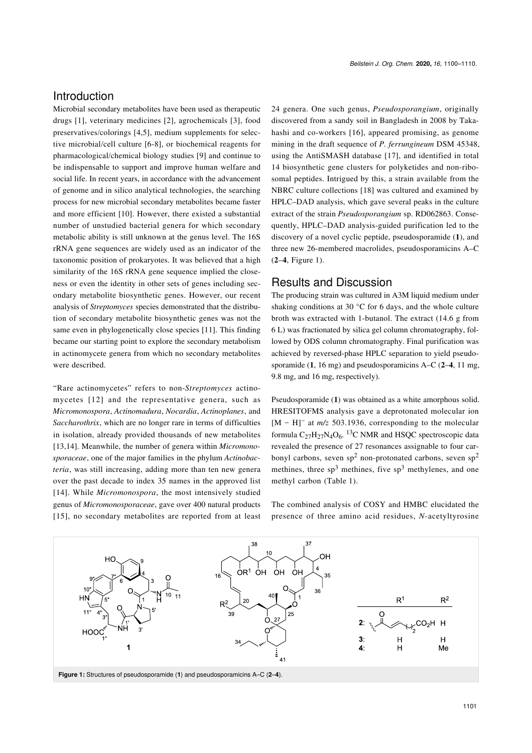# Introduction

Microbial secondary metabolites have been used as therapeutic drugs [\[1\],](#page-9-0) veterinary medicines [\[2\]](#page-9-1), agrochemicals [\[3\],](#page-9-2) food preservatives/colorings [\[4,5\]](#page-9-3), medium supplements for selective microbial/cell culture [\[6-8\]](#page-9-4), or biochemical reagents for pharmacological/chemical biology studies [\[9\]](#page-9-5) and continue to be indispensable to support and improve human welfare and social life. In recent years, in accordance with the advancement of genome and in silico analytical technologies, the searching process for new microbial secondary metabolites became faster and more efficient [\[10\]](#page-9-6). However, there existed a substantial number of unstudied bacterial genera for which secondary metabolic ability is still unknown at the genus level. The 16S rRNA gene sequences are widely used as an indicator of the taxonomic position of prokaryotes. It was believed that a high similarity of the 16S rRNA gene sequence implied the closeness or even the identity in other sets of genes including secondary metabolite biosynthetic genes. However, our recent analysis of *Streptomyces* species demonstrated that the distribution of secondary metabolite biosynthetic genes was not the same even in phylogenetically close species [\[11\].](#page-9-7) This finding became our starting point to explore the secondary metabolism in actinomycete genera from which no secondary metabolites were described.

"Rare actinomycetes" refers to non-*Streptomyces* actinomycetes [\[12\]](#page-9-8) and the representative genera, such as *Micromonospora*, *Actinomadura*, *Nocardia*, *Actinoplanes*, and *Saccharothrix*, which are no longer rare in terms of difficulties in isolation, already provided thousands of new metabolites [\[13,14\]](#page-9-9). Meanwhile, the number of genera within *Micromonosporaceae*, one of the major families in the phylum *Actinobacteria*, was still increasing, adding more than ten new genera over the past decade to index 35 names in the approved list [\[14\]](#page-9-10). While *Micromonospora*, the most intensively studied genus of *Micromonosporaceae*, gave over 400 natural products [\[15\],](#page-9-11) no secondary metabolites are reported from at least 24 genera. One such genus, *Pseudosporangium*, originally discovered from a sandy soil in Bangladesh in 2008 by Takahashi and co-workers [\[16\]](#page-9-12), appeared promising, as genome mining in the draft sequence of *P. ferrungineum* DSM 45348, using the AntiSMASH database [\[17\],](#page-10-0) and identified in total 14 biosynthetic gene clusters for polyketides and non-ribosomal peptides. Intrigued by this, a strain available from the NBRC culture collections [\[18\]](#page-10-1) was cultured and examined by HPLC–DAD analysis, which gave several peaks in the culture extract of the strain *Pseudosporangium* sp. RD062863. Consequently, HPLC–DAD analysis-guided purification led to the discovery of a novel cyclic peptide, pseudosporamide (**1**), and three new 26-membered macrolides, pseudosporamicins A–C (**2**–**4**, [Figure 1](#page-1-0)).

#### Results and Discussion

The producing strain was cultured in A3M liquid medium under shaking conditions at 30 °C for 6 days, and the whole culture broth was extracted with 1-butanol. The extract (14.6 g from 6 L) was fractionated by silica gel column chromatography, followed by ODS column chromatography. Final purification was achieved by reversed-phase HPLC separation to yield pseudosporamide (**1**, 16 mg) and pseudosporamicins A–C (**2**–**4**, 11 mg, 9.8 mg, and 16 mg, respectively).

Pseudosporamide (**1**) was obtained as a white amorphous solid. HRESITOFMS analysis gave a deprotonated molecular ion [M – H]<sup>-</sup> at *m/z* 503.1936, corresponding to the molecular formula  $C_{27}H_{27}N_4O_6$ . <sup>13</sup>C NMR and HSQC spectroscopic data revealed the presence of 27 resonances assignable to four carbonyl carbons, seven sp<sup>2</sup> non-protonated carbons, seven sp<sup>2</sup> methines, three  $sp^3$  methines, five  $sp^3$  methylenes, and one methyl carbon ([Table 1\)](#page-2-0).

The combined analysis of COSY and HMBC elucidated the presence of three amino acid residues, *N*-acetyltyrosine

<span id="page-1-0"></span>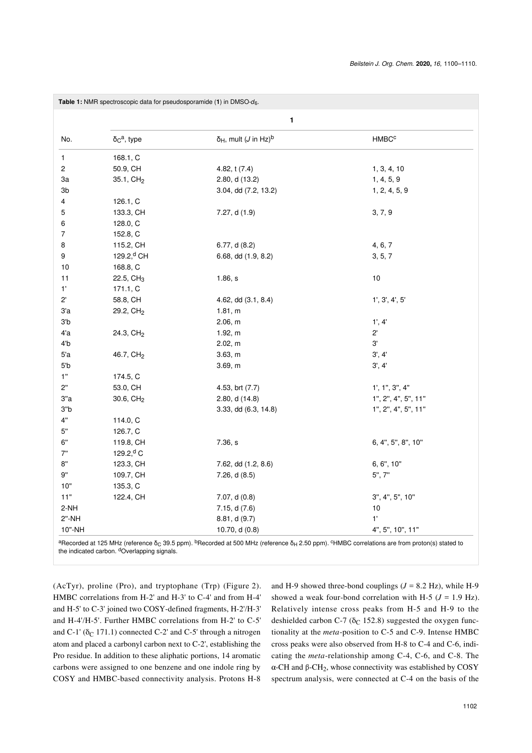<span id="page-2-0"></span>

|                         |                                 | 1                                                |                     |
|-------------------------|---------------------------------|--------------------------------------------------|---------------------|
| No.                     | $\delta_{\rm C}^{\rm a}$ , type | $\delta_H$ , mult ( <i>J</i> in Hz) <sup>b</sup> | HMBC <sup>c</sup>   |
| 1                       | 168.1, C                        |                                                  |                     |
| $\overline{\mathbf{c}}$ | 50.9, CH                        | 4.82, t (7.4)                                    | 1, 3, 4, 10         |
| За                      | 35.1, CH <sub>2</sub>           | 2.80, d (13.2)                                   | 1, 4, 5, 9          |
| Зb                      |                                 | 3.04, dd (7.2, 13.2)                             | 1, 2, 4, 5, 9       |
| 4                       | 126.1, C                        |                                                  |                     |
| 5                       | 133.3, CH                       | 7.27, d (1.9)                                    | 3, 7, 9             |
| 6                       | 128.0, C                        |                                                  |                     |
| 7                       | 152.8, C                        |                                                  |                     |
| 8                       | 115.2, CH                       | 6.77, d (8.2)                                    | 4, 6, 7             |
| 9                       | 129.2, <sup>d</sup> CH          | 6.68, dd (1.9, 8.2)                              | 3, 5, 7             |
| 10                      | 168.8, C                        |                                                  |                     |
| 11                      | 22.5, CH <sub>3</sub>           | 1.86, s                                          | 10                  |
| $1'$                    | 171.1, C                        |                                                  |                     |
| $2^{\prime}$            | 58.8, CH                        | 4.62, dd (3.1, 8.4)                              | 1', 3', 4', 5'      |
| 3a                      | 29.2, CH <sub>2</sub>           | 1.81, m                                          |                     |
| 3 <sub>b</sub>          |                                 | 2.06, m                                          | 1', 4'              |
| 4'a                     | 24.3, CH <sub>2</sub>           | 1.92, m                                          | $2^{\prime}$        |
| 4 <sup>'</sup> b        |                                 | 2.02, m                                          | 3'                  |
| 5a                      | 46.7, CH <sub>2</sub>           | 3.63, m                                          | 3', 4'              |
| 5b                      |                                 | 3.69, m                                          | 3', 4'              |
| 1"                      | 174.5, C                        |                                                  |                     |
| 2"                      | 53.0, CH                        | 4.53, brt (7.7)                                  | 1', 1", 3", 4"      |
| 3"a                     | 30.6, $CH2$                     | 2.80, d (14.8)                                   | 1", 2", 4", 5", 11" |
| 3"b                     |                                 | 3.33, dd (6.3, 14.8)                             | 1", 2", 4", 5", 11" |
| 4"                      | 114.0, C                        |                                                  |                     |
| 5"                      | 126.7, C                        |                                                  |                     |
| 6"                      | 119.8, CH                       | 7.36, s                                          | 6, 4", 5", 8", 10"  |
| 7"                      | 129.2, <sup>d</sup> C           |                                                  |                     |
| 8"                      | 123.3, CH                       | 7.62, dd (1.2, 8.6)                              | 6, 6", 10"          |
| 9"                      | 109.7, CH                       | 7.26, d(8.5)                                     | 5", 7"              |
| 10"                     | 135.3, C                        |                                                  |                     |
| 11"                     | 122.4, CH                       | 7.07, d (0.8)                                    | 3", 4", 5", 10"     |
| $2-NH$                  |                                 | 7.15, d (7.6)                                    | 10                  |
| $2"$ -NH                |                                 | 8.81, d (9.7)                                    | 1'                  |
| 10"-NH                  |                                 | 10.70, d (0.8)                                   | 4", 5", 10", 11"    |

 $^3$ Recorded at 125 MHz (reference  $\delta_{\rm C}$  39.5 ppm).  $^{\rm b}$ Recorded at 500 MHz (reference  $\delta_{\rm H}$  2.50 ppm).  $^{\rm c}$ HMBC correlations are from proton(s) stated to the indicated carbon. dOverlapping signals.

(AcTyr), proline (Pro), and tryptophane (Trp) ([Figure 2](#page-3-0)). HMBC correlations from H-2' and H-3' to C-4' and from H-4' and H-5' to C-3' joined two COSY-defined fragments, H-2'/H-3' and H-4'/H-5'. Further HMBC correlations from H-2' to C-5' and C-1' ( $\delta$ <sub>C</sub> 171.1) connected C-2' and C-5' through a nitrogen atom and placed a carbonyl carbon next to C-2', establishing the Pro residue. In addition to these aliphatic portions, 14 aromatic carbons were assigned to one benzene and one indole ring by COSY and HMBC-based connectivity analysis. Protons H-8

and H-9 showed three-bond couplings  $(J = 8.2 \text{ Hz})$ , while H-9 showed a weak four-bond correlation with H-5  $(J = 1.9 \text{ Hz})$ . Relatively intense cross peaks from H-5 and H-9 to the deshielded carbon C-7 ( $\delta$ C 152.8) suggested the oxygen functionality at the *meta*-position to C-5 and C-9. Intense HMBC cross peaks were also observed from H-8 to C-4 and C-6, indicating the *meta*-relationship among C-4, C-6, and C-8. The  $\alpha$ -CH and  $\beta$ -CH<sub>2</sub>, whose connectivity was established by COSY spectrum analysis, were connected at C-4 on the basis of the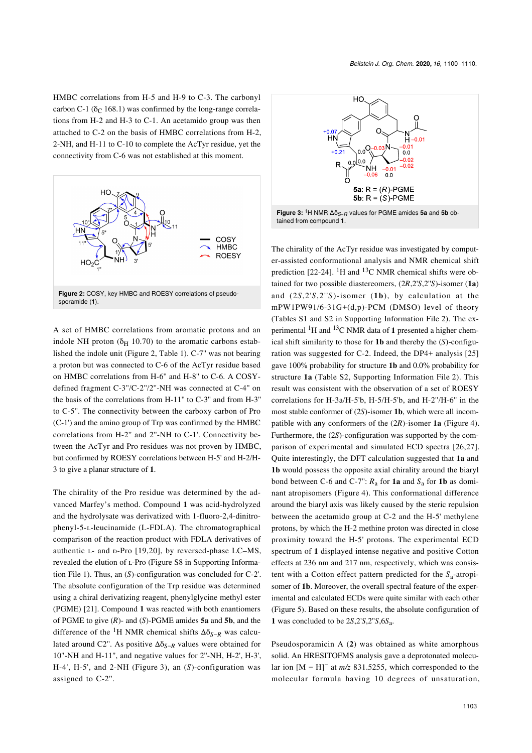HMBC correlations from H-5 and H-9 to C-3. The carbonyl carbon C-1 ( $\delta$ <sub>C</sub> 168.1) was confirmed by the long-range correlations from H-2 and H-3 to C-1. An acetamido group was then attached to C-2 on the basis of HMBC correlations from H-2, 2-NH, and H-11 to C-10 to complete the AcTyr residue, yet the connectivity from C-6 was not established at this moment.

<span id="page-3-0"></span>

A set of HMBC correlations from aromatic protons and an indole NH proton ( $\delta$ <sub>H</sub> 10.70) to the aromatic carbons established the indole unit ([Figure 2](#page-3-0), [Table 1\)](#page-2-0). C-7'' was not bearing a proton but was connected to C-6 of the AcTyr residue based on HMBC correlations from H-6'' and H-8'' to C-6. A COSYdefined fragment C-3''/C-2''/2''-NH was connected at C-4'' on the basis of the correlations from H-11'' to C-3'' and from H-3'' to C-5''. The connectivity between the carboxy carbon of Pro (C-1') and the amino group of Trp was confirmed by the HMBC correlations from H-2'' and 2''-NH to C-1'. Connectivity between the AcTyr and Pro residues was not proven by HMBC, but confirmed by ROESY correlations between H-5' and H-2/H-3 to give a planar structure of **1**.

The chirality of the Pro residue was determined by the advanced Marfey's method. Compound **1** was acid-hydrolyzed and the hydrolysate was derivatized with 1-fluoro-2,4-dinitrophenyl-5-ʟ-leucinamide (L-FDLA). The chromatographical comparison of the reaction product with FDLA derivatives of authentic L- and D-Pro [\[19,20\]](#page-10-2), by reversed-phase LC-MS, revealed the elution of L-Pro (Figure S8 in [Supporting Informa](#page-9-13)[tion File 1](#page-9-13)). Thus, an (*S*)-configuration was concluded for C-2'. The absolute configuration of the Trp residue was determined using a chiral derivatizing reagent, phenylglycine methyl ester (PGME) [\[21\].](#page-10-3) Compound **1** was reacted with both enantiomers of PGME to give (*R*)- and (*S*)-PGME amides **5a** and **5b**, and the difference of the <sup>1</sup>H NMR chemical shifts  $\Delta \delta_{S-R}$  was calculated around C2''. As positive Δδ*S*−*R* values were obtained for 10''-NH and H-11'', and negative values for 2''-NH, H-2', H-3', H-4', H-5', and 2-NH ([Figure 3](#page-3-1)), an (*S*)-configuration was assigned to C-2''.

<span id="page-3-1"></span>

The chirality of the AcTyr residue was investigated by computer-assisted conformational analysis and NMR chemical shift prediction [\[22-24\]](#page-10-4). <sup>1</sup>H and <sup>13</sup>C NMR chemical shifts were obtained for two possible diastereomers, (2*R*,2'*S*,2''*S*)-isomer (**1a**) and (2*S*,2'*S*,2''*S*)-isomer (**1b**), by calculation at the mPW1PW91/6-31G+(d,p)-PCM (DMSO) level of theory (Tables S1 and S2 in [Supporting Information File 2](#page-9-14)). The experimental 1H and 13C NMR data of **1** presented a higher chemical shift similarity to those for **1b** and thereby the (*S*)-configuration was suggested for C-2. Indeed, the DP4+ analysis [\[25\]](#page-10-5) gave 100% probability for structure **1b** and 0.0% probability for structure **1a** (Table S2, [Supporting Information File 2](#page-9-14)). This result was consistent with the observation of a set of ROESY correlations for H-3a/H-5'b, H-5/H-5'b, and H-2''/H-6'' in the most stable conformer of (2*S*)-isomer **1b**, which were all incompatible with any conformers of the (2*R*)-isomer **1a** ([Figure 4](#page-4-0)). Furthermore, the (2*S*)-configuration was supported by the comparison of experimental and simulated ECD spectra [\[26,27\]](#page-10-6). Quite interestingly, the DFT calculation suggested that **1a** and **1b** would possess the opposite axial chirality around the biaryl bond between C-6 and C-7":  $R_a$  for **1a** and  $S_a$  for **1b** as dominant atropisomers [\(Figure 4](#page-4-0)). This conformational difference around the biaryl axis was likely caused by the steric repulsion between the acetamido group at C-2 and the H-5' methylene protons, by which the H-2 methine proton was directed in close proximity toward the H-5' protons. The experimental ECD spectrum of **1** displayed intense negative and positive Cotton effects at 236 nm and 217 nm, respectively, which was consistent with a Cotton effect pattern predicted for the *S*<sup>a</sup> -atropisomer of **1b**. Moreover, the overall spectral feature of the experimental and calculated ECDs were quite similar with each other ([Figure 5](#page-4-1)). Based on these results, the absolute configuration of **1** was concluded to be 2*S*,2'*S*,2''*S*,6*S*<sup>a</sup> .

Pseudosporamicin A (**2**) was obtained as white amorphous solid. An HRESITOFMS analysis gave a deprotonated molecular ion  $[M - H]$ <sup>-</sup> at  $m/z$  831.5255, which corresponded to the molecular formula having 10 degrees of unsaturation,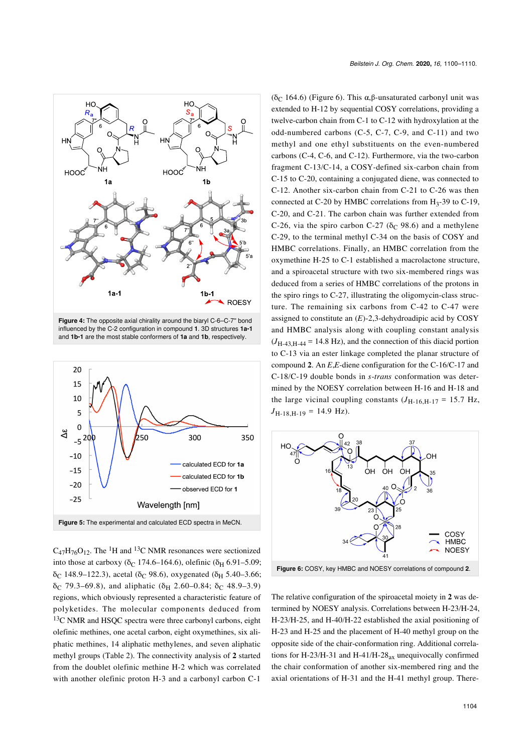<span id="page-4-0"></span>

**Figure 4:** The opposite axial chirality around the biaryl C-6–C-7'' bond influenced by the C-2 configuration in compound **1**. 3D structures **1a-1** and **1b-1** are the most stable conformers of **1a** and **1b**, respectively.

<span id="page-4-1"></span>

 $C_{47}H_{76}O_{12}$ . The <sup>1</sup>H and <sup>13</sup>C NMR resonances were sectionized into those at carboxy ( $\delta$ <sup>C</sup> 174.6–164.6), olefinic ( $\delta$ <sub>H</sub> 6.91–5.09; δ<sub>C</sub> 148.9–122.3), acetal (δ<sub>C</sub> 98.6), oxygenated (δ<sub>H</sub> 5.40–3.66; δ<sub>C</sub> 79.3–69.8), and aliphatic (δ<sub>H</sub> 2.60–0.84; δ<sub>C</sub> 48.9–3.9) regions, which obviously represented a characteristic feature of polyketides. The molecular components deduced from <sup>13</sup>C NMR and HSQC spectra were three carbonyl carbons, eight olefinic methines, one acetal carbon, eight oxymethines, six aliphatic methines, 14 aliphatic methylenes, and seven aliphatic methyl groups ([Table 2](#page-5-0)). The connectivity analysis of **2** started from the doublet olefinic methine H-2 which was correlated with another olefinic proton H-3 and a carbonyl carbon C-1

(δ<sub>C</sub> 164.6) ([Figure 6](#page-4-2)). This  $\alpha$ , β-unsaturated carbonyl unit was extended to H-12 by sequential COSY correlations, providing a twelve-carbon chain from C-1 to C-12 with hydroxylation at the odd-numbered carbons (C-5, C-7, C-9, and C-11) and two methyl and one ethyl substituents on the even-numbered carbons (C-4, C-6, and C-12). Furthermore, via the two-carbon fragment C-13/C-14, a COSY-defined six-carbon chain from C-15 to C-20, containing a conjugated diene, was connected to C-12. Another six-carbon chain from C-21 to C-26 was then connected at C-20 by HMBC correlations from  $H_3$ -39 to C-19, C-20, and C-21. The carbon chain was further extended from C-26, via the spiro carbon C-27 ( $\delta$ <sub>C</sub> 98.6) and a methylene C-29, to the terminal methyl C-34 on the basis of COSY and HMBC correlations. Finally, an HMBC correlation from the oxymethine H-25 to C-1 established a macrolactone structure, and a spiroacetal structure with two six-membered rings was deduced from a series of HMBC correlations of the protons in the spiro rings to C-27, illustrating the oligomycin-class structure. The remaining six carbons from C-42 to C-47 were assigned to constitute an (*E*)-2,3-dehydroadipic acid by COSY and HMBC analysis along with coupling constant analysis  $(J_{H-43,H-44} = 14.8 \text{ Hz})$ , and the connection of this diacid portion to C-13 via an ester linkage completed the planar structure of compound **2**. An *E*,*E*-diene configuration for the C-16/C-17 and C-18/C-19 double bonds in *s*-*trans* conformation was determined by the NOESY correlation between H-16 and H-18 and the large vicinal coupling constants  $(J_{H-16,H-17} = 15.7 \text{ Hz},$  $J_{\text{H-18},\text{H-19}} = 14.9 \text{ Hz}.$ 

<span id="page-4-2"></span>

**Figure 6:** COSY, key HMBC and NOESY correlations of compound **2**.

The relative configuration of the spiroacetal moiety in **2** was determined by NOESY analysis. Correlations between H-23/H-24, H-23/H-25, and H-40/H-22 established the axial positioning of H-23 and H-25 and the placement of H-40 methyl group on the opposite side of the chair-conformation ring. Additional correlations for H-23/H-31 and H-41/H-28 $_{ax}$  unequivocally confirmed the chair conformation of another six-membered ring and the axial orientations of H-31 and the H-41 methyl group. There-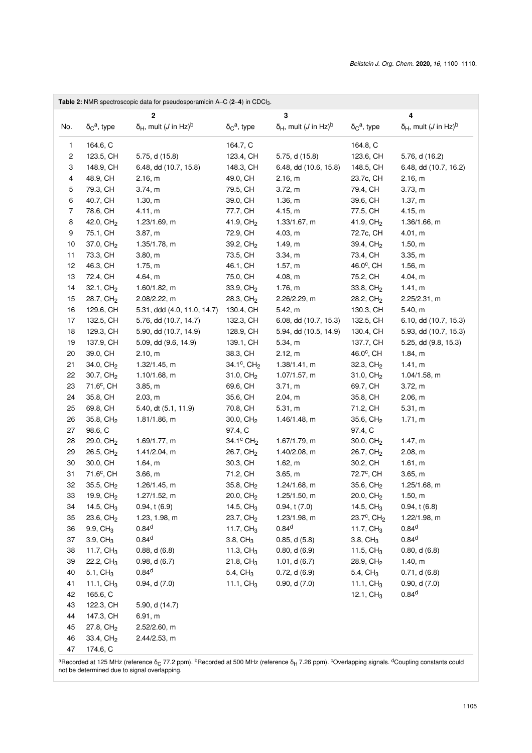<span id="page-5-0"></span>

|                         |                                           | Table 2: NMR spectroscopic data for pseudosporamicin A-C (2-4) in CDCl <sub>3</sub> . |                                           |                                                  |                                           |                                                  |
|-------------------------|-------------------------------------------|---------------------------------------------------------------------------------------|-------------------------------------------|--------------------------------------------------|-------------------------------------------|--------------------------------------------------|
|                         |                                           | 2                                                                                     |                                           | 3                                                |                                           | 4                                                |
| No.                     | $\delta$ <sub>C</sub> <sup>a</sup> , type | $\delta_H$ , mult ( <i>J</i> in Hz) <sup>b</sup>                                      | $\delta$ <sub>C</sub> <sup>a</sup> , type | $\delta_H$ , mult ( <i>J</i> in Hz) <sup>b</sup> | $\delta$ <sub>C</sub> <sup>a</sup> , type | $\delta_H$ , mult ( <i>J</i> in Hz) <sup>b</sup> |
| 1                       | 164.6, C                                  |                                                                                       | 164.7, C                                  |                                                  | 164.8, C                                  |                                                  |
| $\overline{\mathbf{c}}$ | 123.5, CH                                 | 5.75, d (15.8)                                                                        | 123.4, CH                                 | 5.75, d (15.8)                                   | 123.6, CH                                 | 5.76, d (16.2)                                   |
| 3                       | 148.9, CH                                 | 6.48, dd (10.7, 15.8)                                                                 | 148.3, CH                                 | 6.48, dd (10.6, 15.8)                            | 148.5, CH                                 | 6.48, dd (10.7, 16.2)                            |
| 4                       | 48.9, CH                                  | 2.16, m                                                                               | 49.0, CH                                  | 2.16, m                                          | 23.7c, CH                                 | 2.16, m                                          |
| 5                       | 79.3, CH                                  | 3.74, m                                                                               | 79.5, CH                                  | 3.72, m                                          | 79.4, CH                                  | 3.73, m                                          |
| 6                       | 40.7, CH                                  | 1.30, m                                                                               | 39.0, CH                                  | 1.36, m                                          | 39.6, CH                                  | 1.37, m                                          |
| $\overline{7}$          | 78.6, CH                                  | 4.11, m                                                                               | 77.7, CH                                  | 4.15, m                                          | 77.5, CH                                  | 4.15, m                                          |
| 8                       | 42.0, $CH2$                               | 1.23/1.69, m                                                                          | 41.9, $CH2$                               | 1.33/1.67, m                                     | 41.9, $CH2$                               | 1.36/1.66, m                                     |
| 9                       | 75.1, CH                                  | 3.87, m                                                                               | 72.9, CH                                  | 4.03, m                                          | 72.7c, CH                                 | 4.01, m                                          |
| 10                      | 37.0, CH <sub>2</sub>                     | 1.35/1.78, m                                                                          | 39.2, CH <sub>2</sub>                     | 1.49, m                                          | 39.4, CH <sub>2</sub>                     | 1.50, m                                          |
| 11                      | 73.3, CH                                  | 3.80, m                                                                               | 73.5, CH                                  | 3.34, m                                          | 73.4, CH                                  | 3.35, m                                          |
| 12                      | 46.3, CH                                  | 1.75, m                                                                               | 46.1, CH                                  | 1.57, m                                          | 46.0°, CH                                 | 1.56, m                                          |
| 13                      | 72.4, CH                                  | 4.64, m                                                                               | 75.0, CH                                  | 4.08, m                                          | 75.2, CH                                  | 4.04, m                                          |
| 14                      | $32.1, \text{CH}_2$                       | 1.60/1.82, m                                                                          | 33.9, CH <sub>2</sub>                     | 1.76, m                                          | 33.8, CH <sub>2</sub>                     | 1.41, m                                          |
| 15                      | 28.7, CH <sub>2</sub>                     | 2.08/2.22, m                                                                          | 28.3, CH <sub>2</sub>                     | 2.26/2.29, m                                     | 28.2, CH <sub>2</sub>                     | 2.25/2.31, m                                     |
| 16                      | 129.6, CH                                 | 5.31, ddd (4.0, 11.0, 14.7)                                                           | 130.4, CH                                 | 5.42, m                                          | 130.3, CH                                 | 5.40, m                                          |
| 17                      | 132.5, CH                                 | 5.76, dd (10.7, 14.7)                                                                 | 132.3, CH                                 | 6.08, dd (10.7, 15.3)                            | 132.5, CH                                 | 6.10, dd (10.7, 15.3)                            |
| 18                      | 129.3, CH                                 | 5.90, dd (10.7, 14.9)                                                                 | 128.9, CH                                 | 5.94, dd (10.5, 14.9)                            | 130.4, CH                                 | 5.93, dd (10.7, 15.3)                            |
| 19                      | 137.9, CH                                 | 5.09, dd (9.6, 14.9)                                                                  | 139.1, CH                                 | 5.34, m                                          | 137.7, CH                                 | 5.25, dd (9.8, 15.3)                             |
| 20                      | 39.0, CH                                  | 2.10, m                                                                               | 38.3, CH                                  | 2.12, m                                          | 46.0°, CH                                 | 1.84, m                                          |
| 21                      | 34.0, CH <sub>2</sub>                     | 1.32/1.45, m                                                                          | $34.1^{\circ}$ , CH <sub>2</sub>          | 1.38/1.41, m                                     | 32.3, CH <sub>2</sub>                     | 1.41, m                                          |
| 22                      | 30.7, CH <sub>2</sub>                     | 1.10/1.68, m                                                                          | 31.0, $CH2$                               | 1.07/1.57, m                                     | 31.0, CH <sub>2</sub>                     | 1.04/1.58, m                                     |
| 23                      | 71.6°, CH                                 | 3.85, m                                                                               | 69.6, CH                                  | 3.71, m                                          | 69.7, CH                                  | 3.72, m                                          |
| 24                      | 35.8, CH                                  | 2.03, m                                                                               | 35.6, CH                                  | 2.04, m                                          | 35.8, CH                                  | 2.06, m                                          |
| 25                      | 69.8, CH                                  | 5.40, dt (5.1, 11.9)                                                                  | 70.8, CH                                  | 5.31, m                                          | 71.2, CH                                  | 5.31, m                                          |
| 26                      | 35.8, CH <sub>2</sub>                     | 1.81/1.86, m                                                                          | 30.0, $CH2$                               | 1.46/1.48, m                                     | 35.6, CH <sub>2</sub>                     | 1.71, m                                          |
| 27                      | 98.6, C                                   |                                                                                       | 97.4, C                                   |                                                  | 97.4, C                                   |                                                  |
| 28                      | 29.0, $CH2$                               | 1.69/1.77, m                                                                          | 34.1 $\degree$ CH <sub>2</sub>            | 1.67/1.79, m                                     | 30.0, $CH2$                               | 1.47, m                                          |
| 29                      | 26.5, $CH2$                               | 1.41/2.04, m                                                                          | 26.7, CH <sub>2</sub>                     | 1.40/2.08, m                                     | 26.7, CH <sub>2</sub>                     | 2.08, m                                          |
| 30                      | 30.0, CH                                  | 1.64, m                                                                               | 30.3, CH                                  | 1.62, m                                          | 30.2, CH                                  | 1.61, m                                          |
| 31                      | 71.6 <sup>c</sup> , CH                    | 3.66, m                                                                               | 71.2, CH                                  | 3.65, m                                          | 72.7°, CH                                 | 3.65, m                                          |
| 32                      | 35.5, CH <sub>2</sub>                     | 1.26/1.45, m                                                                          | 35.8, CH <sub>2</sub>                     | 1.24/1.68, m                                     | 35.6, CH <sub>2</sub>                     | 1.25/1.68, m                                     |
| 33                      | 19.9, CH <sub>2</sub>                     | 1.27/1.52, m                                                                          | 20.0, CH <sub>2</sub>                     | 1.25/1.50, m                                     | 20.0, CH <sub>2</sub>                     | 1.50, m                                          |
| 34<br>35                | 14.5, $CH3$<br>23.6, $CH2$                | 0.94, t(6.9)<br>1.23, 1.98, m                                                         | 14.5, $CH3$<br>23.7, CH <sub>2</sub>      | 0.94, t(7.0)<br>1.23/1.98, m                     | 14.5, $CH3$<br>23.7°, CH <sub>2</sub>     | 0.94, t(6.8)<br>1.22/1.98, m                     |
| 36                      | 9.9, $CH3$                                | 0.84 <sup>d</sup>                                                                     | 11.7, $CH3$                               | 0.84 <sup>d</sup>                                | 11.7, $CH3$                               | 0.84 <sup>d</sup>                                |
| 37                      | 3.9, $CH3$                                | 0.84 <sup>d</sup>                                                                     | 3.8, C <sub>13</sub>                      | 0.85, d(5.8)                                     | $3.8, \mathrm{CH}_3$                      | 0.84 <sup>d</sup>                                |
| 38                      | 11.7, $CH3$                               | 0.88, d(6.8)                                                                          | 11.3, $CH3$                               | 0.80, d(6.9)                                     | 11.5, $CH3$                               | 0.80, d(6.8)                                     |
| 39                      | 22.2, $CH3$                               | 0.98, d(6.7)                                                                          | 21.8, CH <sub>3</sub>                     | 1.01, $d(6.7)$                                   | 28.9, CH <sub>2</sub>                     | 1.40, m                                          |
| 40                      | 5.1, CH <sub>3</sub>                      | 0.84 <sup>d</sup>                                                                     | 5.4, $CH3$                                | 0.72, d(6.9)                                     | 5.4, $CH3$                                | 0.71, d(6.8)                                     |
| 41                      | 11.1, $CH3$                               | 0.94, d(7.0)                                                                          | 11.1, $CH3$                               | 0.90, d(7.0)                                     | 11.1, $CH3$                               | 0.90, d(7.0)                                     |
| 42                      | 165.6, C                                  |                                                                                       |                                           |                                                  | 12.1, $CH3$                               | $0.84^{d}$                                       |
| 43                      | 122.3, CH                                 | 5.90, d (14.7)                                                                        |                                           |                                                  |                                           |                                                  |
| 44                      | 147.3, CH                                 | 6.91, m                                                                               |                                           |                                                  |                                           |                                                  |
| 45                      | 27.8, $CH2$                               | 2.52/2.60, m                                                                          |                                           |                                                  |                                           |                                                  |
| 46                      | 33.4, $CH2$                               | 2.44/2.53, m                                                                          |                                           |                                                  |                                           |                                                  |
| 47                      | 174.6, C                                  |                                                                                       |                                           |                                                  |                                           |                                                  |
|                         |                                           |                                                                                       |                                           |                                                  |                                           |                                                  |

<sup>a</sup>Recorded at 125 MHz (reference δ<sub>C</sub> 77.2 ppm). <sup>b</sup>Recorded at 500 MHz (reference δ<sub>H</sub> 7.26 ppm). <sup>c</sup>Overlapping signals. <sup>d</sup>Coupling constants could<br>not be determined due to signal overlapping.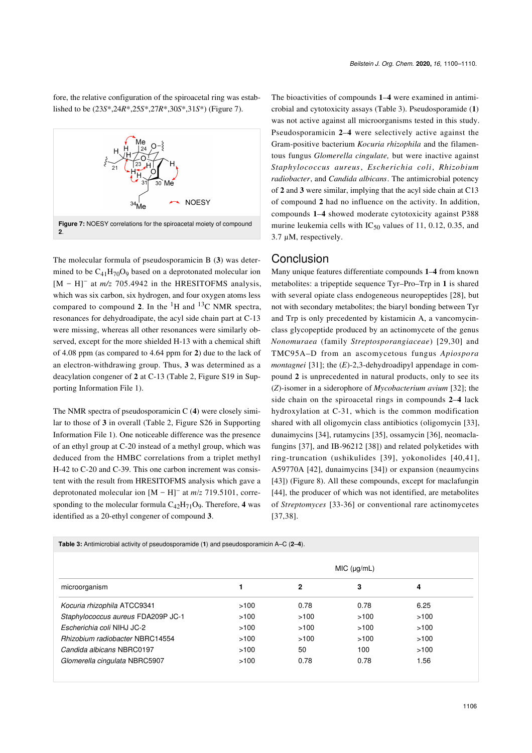fore, the relative configuration of the spiroacetal ring was established to be (23*S*\*,24*R*\*,25*S*\*,27*R*\*,30*S*\*,31*S*\*) [\(Figure 7\)](#page-6-0).

<span id="page-6-0"></span>

The molecular formula of pseudosporamicin B (**3**) was determined to be  $C_{41}H_{70}O_9$  based on a deprotonated molecular ion [M - H]<sup>-</sup> at *m/z* 705.4942 in the HRESITOFMS analysis, which was six carbon, six hydrogen, and four oxygen atoms less compared to compound 2. In the  ${}^{1}H$  and  ${}^{13}C$  NMR spectra, resonances for dehydroadipate, the acyl side chain part at C-13 were missing, whereas all other resonances were similarly observed, except for the more shielded H-13 with a chemical shift of 4.08 ppm (as compared to 4.64 ppm for **2**) due to the lack of an electron-withdrawing group. Thus, **3** was determined as a deacylation congener of **2** at C-13 ([Table 2](#page-5-0), Figure S19 in [Sup](#page-9-13)[porting Information File 1](#page-9-13)).

The NMR spectra of pseudosporamicin C (**4**) were closely similar to those of **3** in overall [\(Table 2](#page-5-0), Figure S26 in [Supporting](#page-9-13) [Information File 1](#page-9-13)). One noticeable difference was the presence of an ethyl group at C-20 instead of a methyl group, which was deduced from the HMBC correlations from a triplet methyl H-42 to C-20 and C-39. This one carbon increment was consistent with the result from HRESITOFMS analysis which gave a deprotonated molecular ion  $[M - H]$ <sup>-</sup> at  $m/z$  719.5101, corresponding to the molecular formula  $C_{42}H_{71}O_9$ . Therefore, 4 was identified as a 20-ethyl congener of compound **3**.

The bioactivities of compounds **1**–**4** were examined in antimicrobial and cytotoxicity assays [\(Table 3](#page-6-1)). Pseudosporamide (**1**) was not active against all microorganisms tested in this study. Pseudosporamicin **2**–**4** were selectively active against the Gram-positive bacterium *Kocuria rhizophila* and the filamentous fungus *Glomerella cingulate,* but were inactive against *Staphylococcus aureus*, *Escherichia coli*, *Rhizobium radiobacter*, and *Candida albicans*. The antimicrobial potency of **2** and **3** were similar, implying that the acyl side chain at C13 of compound **2** had no influence on the activity. In addition, compounds **1**–**4** showed moderate cytotoxicity against P388 murine leukemia cells with  $IC_{50}$  values of 11, 0.12, 0.35, and 3.7 μM, respectively.

### **Conclusion**

Many unique features differentiate compounds **1**–**4** from known metabolites: a tripeptide sequence Tyr–Pro–Trp in **1** is shared with several opiate class endogeneous neuropeptides [\[28\],](#page-10-7) but not with secondary metabolites; the biaryl bonding between Tyr and Trp is only precedented by kistamicin A, a vancomycinclass glycopeptide produced by an actinomycete of the genus *Nonomuraea* (family *Streptosporangiaceae*) [\[29,30\]](#page-10-8) and TMC95A–D from an ascomycetous fungus *Apiospora montagnei* [\[31\]](#page-10-9); the  $(E)$ -2,3-dehydroadipyl appendage in compound **2** is unprecedented in natural products, only to see its (*Z*)-isomer in a siderophore of *Mycobacterium avium* [\[32\]](#page-10-10); the side chain on the spiroacetal rings in compounds **2**–**4** lack hydroxylation at C-31, which is the common modification shared with all oligomycin class antibiotics (oligomycin [\[33\]](#page-10-11), dunaimycins [\[34\]](#page-10-12), rutamycins [\[35\]](#page-10-13), ossamycin [\[36\],](#page-10-14) neomaclafungins [\[37\]](#page-10-15), and IB-96212 [\[38\]](#page-10-16)) and related polyketides with ring-truncation (ushikulides [\[39\]](#page-10-17), yokonolides [\[40,41\]](#page-10-18), A59770A [\[42\],](#page-10-19) dunaimycins [\[34\]](#page-10-12)) or expansion (neaumycins [\[43\]\)](#page-10-20) ([Figure 8\)](#page-7-0). All these compounds, except for maclafungin [\[44\],](#page-10-21) the producer of which was not identified, are metabolites of *Streptomyces* [\[33-36\]](#page-10-11) or conventional rare actinomycetes [\[37,38\]](#page-10-15).

<span id="page-6-1"></span>**Table 3:** Antimicrobial activity of pseudosporamide (**1**) and pseudosporamicin A–C (**2**–**4**).

|                                    | MIC (µq/mL) |      |      |      |
|------------------------------------|-------------|------|------|------|
| microorganism                      |             | 2    | 3    | 4    |
| Kocuria rhizophila ATCC9341        | >100        | 0.78 | 0.78 | 6.25 |
| Staphylococcus aureus FDA209P JC-1 | >100        | >100 | >100 | >100 |
| Escherichia coli NIHJ JC-2         | >100        | >100 | >100 | >100 |
| Rhizobium radiobacter NBRC14554    | >100        | >100 | >100 | >100 |
| Candida albicans NBRC0197          | >100        | 50   | 100  | >100 |
| Glomerella cingulata NBRC5907      | >100        | 0.78 | 0.78 | 1.56 |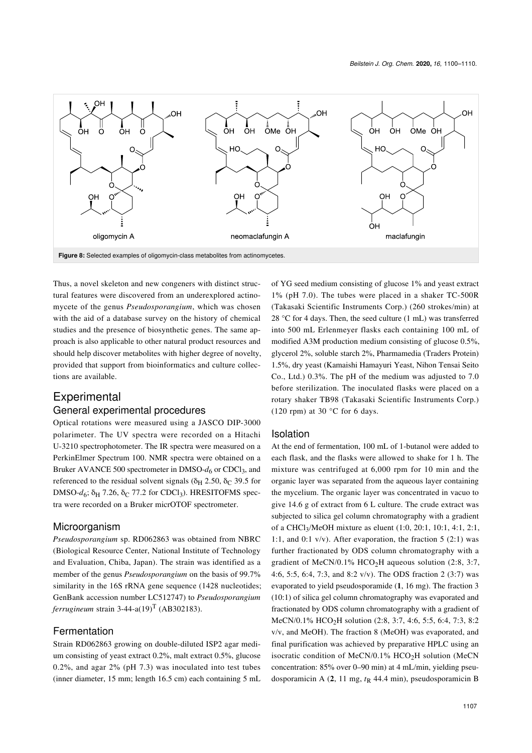<span id="page-7-0"></span>

Thus, a novel skeleton and new congeners with distinct structural features were discovered from an underexplored actinomycete of the genus *Pseudosporangium*, which was chosen with the aid of a database survey on the history of chemical studies and the presence of biosynthetic genes. The same approach is also applicable to other natural product resources and should help discover metabolites with higher degree of novelty, provided that support from bioinformatics and culture collections are available.

# **Experimental**

#### General experimental procedures

Optical rotations were measured using a JASCO DIP-3000 polarimeter. The UV spectra were recorded on a Hitachi U-3210 spectrophotometer. The IR spectra were measured on a PerkinElmer Spectrum 100. NMR spectra were obtained on a Bruker AVANCE 500 spectrometer in DMSO- $d<sub>6</sub>$  or CDCl<sub>3</sub>, and referenced to the residual solvent signals ( $\delta_H$  2.50,  $\delta_C$  39.5 for DMSO- $d_6$ ; δ<sub>H</sub> 7.26, δ<sub>C</sub> 77.2 for CDCl<sub>3</sub>). HRESITOFMS spectra were recorded on a Bruker micrOTOF spectrometer.

#### Microorganism

*Pseudosporangium* sp. RD062863 was obtained from NBRC (Biological Resource Center, National Institute of Technology and Evaluation, Chiba, Japan). The strain was identified as a member of the genus *Pseudosporangium* on the basis of 99.7% similarity in the 16S rRNA gene sequence (1428 nucleotides; GenBank accession number LC512747) to *Pseudosporangium ferrugineum* strain  $3-44-a(19)^T$  (AB302183).

#### Fermentation

Strain RD062863 growing on double-diluted ISP2 agar medium consisting of yeast extract 0.2%, malt extract 0.5%, glucose 0.2%, and agar 2% (pH 7.3) was inoculated into test tubes (inner diameter, 15 mm; length 16.5 cm) each containing 5 mL of YG seed medium consisting of glucose 1% and yeast extract 1% (pH 7.0). The tubes were placed in a shaker TC-500R (Takasaki Scientific Instruments Corp.) (260 strokes/min) at 28 °C for 4 days. Then, the seed culture (1 mL) was transferred into 500 mL Erlenmeyer flasks each containing 100 mL of modified A3M production medium consisting of glucose 0.5%, glycerol 2%, soluble starch 2%, Pharmamedia (Traders Protein) 1.5%, dry yeast (Kamaishi Hamayuri Yeast, Nihon Tensai Seito Co., Ltd.) 0.3%. The pH of the medium was adjusted to 7.0 before sterilization. The inoculated flasks were placed on a rotary shaker TB98 (Takasaki Scientific Instruments Corp.) (120 rpm) at 30  $^{\circ}$ C for 6 days.

#### Isolation

At the end of fermentation, 100 mL of 1-butanol were added to each flask, and the flasks were allowed to shake for 1 h. The mixture was centrifuged at 6,000 rpm for 10 min and the organic layer was separated from the aqueous layer containing the mycelium. The organic layer was concentrated in vacuo to give 14.6 g of extract from 6 L culture. The crude extract was subjected to silica gel column chromatography with a gradient of a CHCl<sup>3</sup> /MeOH mixture as eluent (1:0, 20:1, 10:1, 4:1, 2:1, 1:1, and 0:1 v/v). After evaporation, the fraction 5 (2:1) was further fractionated by ODS column chromatography with a gradient of MeCN/0.1% HCO<sub>2</sub>H aqueous solution (2:8, 3:7, 4:6, 5:5, 6:4, 7:3, and 8:2 v/v). The ODS fraction 2 (3:7) was evaporated to yield pseudosporamide (**1**, 16 mg). The fraction 3 (10:1) of silica gel column chromatography was evaporated and fractionated by ODS column chromatography with a gradient of MeCN/0.1% HCO2H solution (2:8, 3:7, 4:6, 5:5, 6:4, 7:3, 8:2 v/v, and MeOH). The fraction 8 (MeOH) was evaporated, and final purification was achieved by preparative HPLC using an isocratic condition of MeCN/0.1%  $HCO<sub>2</sub>H$  solution (MeCN concentration: 85% over 0–90 min) at 4 mL/min, yielding pseudosporamicin A (**2**, 11 mg, *t*R 44.4 min), pseudosporamicin B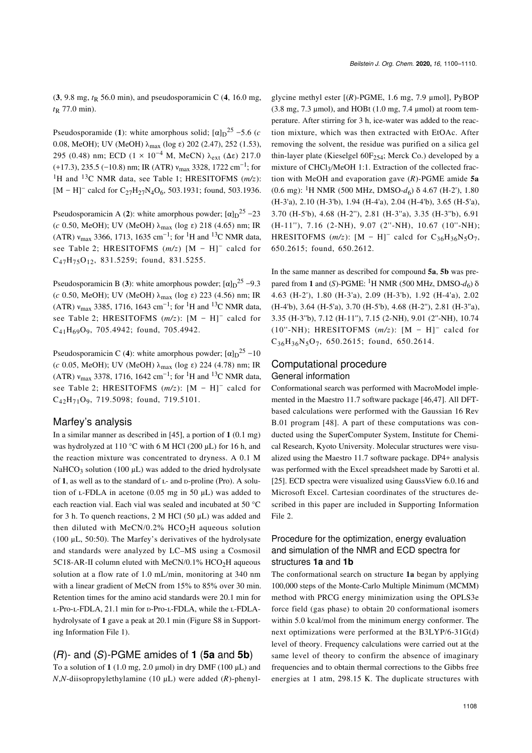$(3, 9.8 \text{ mg}, t_R 56.0 \text{ min})$ , and pseudosporamicin C  $(4, 16.0 \text{ mg})$ , *t*R 77.0 min).

Pseudosporamide (1): white amorphous solid;  $[\alpha]_D^{25}$  –5.6 (*c* 0.08, MeOH); UV (MeOH) λmax (log ε) 202 (2.47), 252 (1.53), 295 (0.48) nm; ECD (1 × 10<sup>-4</sup> M, MeCN)  $\lambda_{ext}$  (Δε) 217.0  $(+17.3), 235.5 (-10.8)$  nm; IR (ATR)  $v_{\text{max}}$  3328, 1722 cm<sup>-1</sup>; for <sup>1</sup>H and <sup>13</sup>C NMR data, see [Table 1;](#page-2-0) HRESITOFMS (*m/z*): [M – H]<sup>-</sup> calcd for C<sub>27</sub>H<sub>27</sub>N<sub>4</sub>O<sub>6</sub>, 503.1931; found, 503.1936.

Pseudosporamicin A (2): white amorphous powder;  $[\alpha]_D^{25}$  -23 (*c* 0.50, MeOH); UV (MeOH) λmax (log ε) 218 (4.65) nm; IR (ATR)  $v_{\text{max}}$  3366, 1713, 1635 cm<sup>-1</sup>; for <sup>1</sup>H and <sup>13</sup>C NMR data, see [Table 2](#page-5-0); HRESITOFMS  $(m/z)$  [M – H]<sup>-</sup> calcd for  $C_{47}H_{75}O_{12}$ , 831.5259; found, 831.5255.

Pseudosporamicin B (3): white amorphous powder;  $\left[\alpha\right]_D$ <sup>25</sup> –9.3 (*c* 0.50, MeOH); UV (MeOH) λmax (log ε) 223 (4.56) nm; IR (ATR)  $v_{\text{max}}$  3385, 1716, 1643 cm<sup>-1</sup>; for <sup>1</sup>H and <sup>13</sup>C NMR data, see [Table 2](#page-5-0); HRESITOFMS  $(m/z)$ :  $[M - H]$ <sup>-</sup> calcd for  $C_{41}H_{69}O_9$ , 705.4942; found, 705.4942.

Pseudosporamicin C (4): white amorphous powder;  $[\alpha]_D^{25}$  -10 (*c* 0.05, MeOH); UV (MeOH) λmax (log ε) 224 (4.78) nm; IR (ATR)  $v_{\text{max}}$  3378, 1716, 1642 cm<sup>-1</sup>; for <sup>1</sup>H and <sup>13</sup>C NMR data, see [Table 2](#page-5-0); HRESITOFMS  $(m/z)$ :  $[M - H]$ <sup>-</sup> calcd for  $C_{42}H_{71}O_9$ , 719.5098; found, 719.5101.

#### Marfey's analysis

In a similar manner as described in [\[45\],](#page-10-22) a portion of **1** (0.1 mg) was hydrolyzed at 110 °C with 6 M HCl (200  $\mu$ L) for 16 h, and the reaction mixture was concentrated to dryness. A 0.1 M NaHCO<sub>3</sub> solution (100  $\mu$ L) was added to the dried hydrolysate of 1, as well as to the standard of L- and D-proline (Pro). A solution of  $L$ -FDLA in acetone (0.05 mg in 50  $\mu$ L) was added to each reaction vial. Each vial was sealed and incubated at 50 °C for 3 h. To quench reactions, 2 M HCl (50 μL) was added and then diluted with MeCN/0.2% HCO<sub>2</sub>H aqueous solution (100 μL, 50:50). The Marfey's derivatives of the hydrolysate and standards were analyzed by LC–MS using a Cosmosil 5C18-AR-II column eluted with MeCN/0.1% HCO<sub>2</sub>H aqueous solution at a flow rate of 1.0 mL/min, monitoring at 340 nm with a linear gradient of MeCN from 15% to 85% over 30 min. Retention times for the amino acid standards were 20.1 min for L-Pro-L-FDLA, 21.1 min for D-Pro-L-FDLA, while the L-FDLAhydrolysate of **1** gave a peak at 20.1 min (Figure S8 in [Support](#page-9-13)[ing Information File 1\)](#page-9-13).

#### (*R*)- and (*S*)-PGME amides of **1** (**5a** and **5b**)

To a solution of **1** (1.0 mg, 2.0 μmol) in dry DMF (100 μL) and *N*,*N*-diisopropylethylamine (10 μL) were added (*R*)-phenylglycine methyl ester [(*R*)-PGME, 1.6 mg, 7.9 μmol], PyBOP  $(3.8 \text{ mg}, 7.3 \text{ µmol})$ , and HOBt  $(1.0 \text{ mg}, 7.4 \text{ µmol})$  at room temperature. After stirring for 3 h, ice-water was added to the reaction mixture, which was then extracted with EtOAc. After removing the solvent, the residue was purified on a silica gel thin-layer plate (Kieselgel  $60F_{254}$ ; Merck Co.) developed by a mixture of CHCl3/MeOH 1:1. Extraction of the collected fraction with MeOH and evaporation gave (*R*)-PGME amide **5a** (0.6 mg): 1H NMR (500 MHz, DMSO-*d*6) δ 4.67 (H-2'), 1.80 (H-3'a), 2.10 (H-3'b), 1.94 (H-4'a), 2.04 (H-4'b), 3.65 (H-5'a), 3.70 (H-5'b), 4.68 (H-2''), 2.81 (H-3''a), 3.35 (H-3''b), 6.91 (H-11''), 7.16 (2-NH), 9.07 (2''-NH), 10.67 (10''-NH); HRESITOFMS  $(m/z)$ :  $[M - H]$ <sup>-</sup> calcd for C<sub>36</sub>H<sub>36</sub>N<sub>5</sub>O<sub>7</sub>, 650.2615; found, 650.2612.

In the same manner as described for compound **5a**, **5b** was prepared from 1 and (*S*)-PGME: <sup>1</sup>H NMR (500 MHz, DMSO- $d_6$ ) δ 4.63 (H-2'), 1.80 (H-3'a), 2.09 (H-3'b), 1.92 (H-4'a), 2.02 (H-4'b), 3.64 (H-5'a), 3.70 (H-5'b), 4.68 (H-2''), 2.81 (H-3''a), 3.35 (H-3''b), 7.12 (H-11''), 7.15 (2-NH), 9.01 (2''-NH), 10.74  $(10''-NH)$ ; HRESITOFMS  $(m/z)$ :  $[M - H]$ <sup>-</sup> calcd for  $C_{36}H_{36}N_5O_7$ , 650.2615; found, 650.2614.

#### Computational procedure General information

Conformational search was performed with MacroModel implemented in the Maestro 11.7 software package [\[46,47\]](#page-10-23). All DFTbased calculations were performed with the Gaussian 16 Rev B.01 program [\[48\]](#page-10-24). A part of these computations was conducted using the SuperComputer System, Institute for Chemical Research, Kyoto University. Molecular structures were visualized using the Maestro 11.7 software package. DP4+ analysis was performed with the Excel spreadsheet made by Sarotti et al. [\[25\].](#page-10-5) ECD spectra were visualized using GaussView 6.0.16 and Microsoft Excel. Cartesian coordinates of the structures described in this paper are included in [Supporting Information](#page-9-14) [File 2](#page-9-14).

#### Procedure for the optimization, energy evaluation and simulation of the NMR and ECD spectra for structures **1a** and **1b**

The conformational search on structure **1a** began by applying 100,000 steps of the Monte-Carlo Multiple Minimum (MCMM) method with PRCG energy minimization using the OPLS3e force field (gas phase) to obtain 20 conformational isomers within 5.0 kcal/mol from the minimum energy conformer. The next optimizations were performed at the B3LYP/6-31G(d) level of theory. Frequency calculations were carried out at the same level of theory to confirm the absence of imaginary frequencies and to obtain thermal corrections to the Gibbs free energies at 1 atm, 298.15 K. The duplicate structures with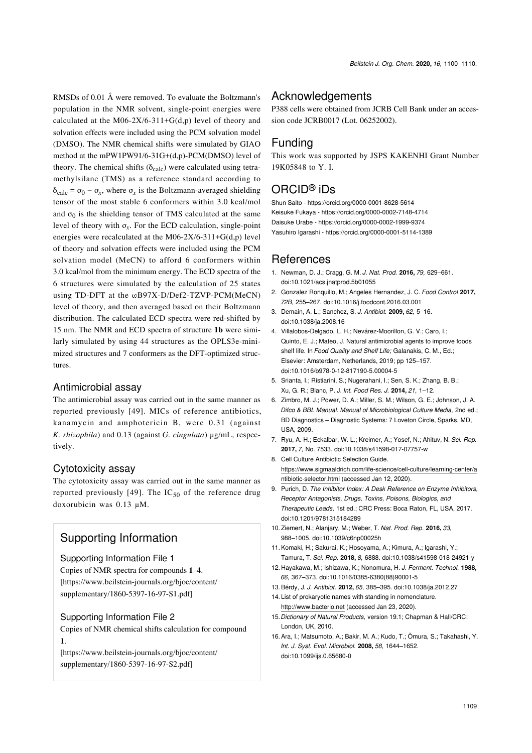RMSDs of 0.01 Å were removed. To evaluate the Boltzmann's population in the NMR solvent, single-point energies were calculated at the M06-2X/6-311+G(d,p) level of theory and solvation effects were included using the PCM solvation model (DMSO). The NMR chemical shifts were simulated by GIAO method at the mPW1PW91/6-31G+(d,p)-PCM(DMSO) level of theory. The chemical shifts ( $\delta_{\text{calc}}$ ) were calculated using tetramethylsilane (TMS) as a reference standard according to  $\delta_{\text{calc}} = \sigma_0 - \sigma_x$ , where  $\sigma_x$  is the Boltzmann-averaged shielding tensor of the most stable 6 conformers within 3.0 kcal/mol and  $\sigma_0$  is the shielding tensor of TMS calculated at the same level of theory with  $\sigma_x$ . For the ECD calculation, single-point energies were recalculated at the M06-2X/6-311+G(d,p) level of theory and solvation effects were included using the PCM solvation model (MeCN) to afford 6 conformers within 3.0 kcal/mol from the minimum energy. The ECD spectra of the 6 structures were simulated by the calculation of 25 states using TD-DFT at the ωB97X-D/Def2-TZVP-PCM(MeCN) level of theory, and then averaged based on their Boltzmann distribution. The calculated ECD spectra were red-shifted by 15 nm. The NMR and ECD spectra of structure **1b** were similarly simulated by using 44 structures as the OPLS3e-minimized structures and 7 conformers as the DFT-optimized structures.

#### Antimicrobial assay

The antimicrobial assay was carried out in the same manner as reported previously [\[49\]](#page-10-25). MICs of reference antibiotics, kanamycin and amphotericin B, were 0.31 (against *K. rhizophila*) and 0.13 (against *G. cingulata*) μg/mL, respectively.

#### Cytotoxicity assay

The cytotoxicity assay was carried out in the same manner as reported previously [\[49\]](#page-10-25). The  $IC_{50}$  of the reference drug doxorubicin was 0.13 μM.

# Supporting Information

#### <span id="page-9-13"></span>Supporting Information File 1

Copies of NMR spectra for compounds **1**–**4**. [\[https://www.beilstein-journals.org/bjoc/content/](https://www.beilstein-journals.org/bjoc/content/supplementary/1860-5397-16-97-S1.pdf) [supplementary/1860-5397-16-97-S1.pdf\]](https://www.beilstein-journals.org/bjoc/content/supplementary/1860-5397-16-97-S1.pdf)

#### <span id="page-9-14"></span>Supporting Information File 2

Copies of NMR chemical shifts calculation for compound **1**.

[\[https://www.beilstein-journals.org/bjoc/content/](https://www.beilstein-journals.org/bjoc/content/supplementary/1860-5397-16-97-S2.pdf) [supplementary/1860-5397-16-97-S2.pdf\]](https://www.beilstein-journals.org/bjoc/content/supplementary/1860-5397-16-97-S2.pdf)

# **Acknowledgements**

P388 cells were obtained from JCRB Cell Bank under an accession code JCRB0017 (Lot. 06252002).

# Funding

This work was supported by JSPS KAKENHI Grant Number 19K05848 to Y. I.

# ORCID® iDs

Shun Saito -<https://orcid.org/0000-0001-8628-5614> Keisuke Fukaya - <https://orcid.org/0000-0002-7148-4714> Daisuke Urabe -<https://orcid.org/0000-0002-1999-9374> Yasuhiro Igarashi -<https://orcid.org/0000-0001-5114-1389>

# **References**

- <span id="page-9-0"></span>1. Newman, D. J.; Cragg, G. M. *J. Nat. Prod.* **2016,** *79,* 629–661. [doi:10.1021/acs.jnatprod.5b01055](https://doi.org/10.1021%2Facs.jnatprod.5b01055)
- <span id="page-9-1"></span>2. Gonzalez Ronquillo, M.; Angeles Hernandez, J. C. *Food Control* **2017,** *72B,* 255–267. [doi:10.1016/j.foodcont.2016.03.001](https://doi.org/10.1016%2Fj.foodcont.2016.03.001)
- <span id="page-9-2"></span>3. Demain, A. L.; Sanchez, S. *J. Antibiot.* **2009,** *62,* 5–16. [doi:10.1038/ja.2008.16](https://doi.org/10.1038%2Fja.2008.16)
- <span id="page-9-3"></span>4. Villalobos-Delgado, L. H.; Nevárez-Moorillon, G. V.; Caro, I.; Quinto, E. J.; Mateo, J. Natural antimicrobial agents to improve foods shelf life. In *Food Quality and Shelf Life;* Galanakis, C. M., Ed.; Elsevier: Amsterdam, Netherlands, 2019; pp 125–157. [doi:10.1016/b978-0-12-817190-5.00004-5](https://doi.org/10.1016%2Fb978-0-12-817190-5.00004-5)
- 5. Srianta, I.; Ristiarini, S.; Nugerahani, I.; Sen, S. K.; Zhang, B. B.; Xu, G. R.; Blanc, P. J. *Int. Food Res. J.* **2014,** *21,* 1–12.
- <span id="page-9-4"></span>6. Zimbro, M. J.; Power, D. A.; Miller, S. M.; Wilson, G. E.; Johnson, J. A. *Difco & BBL Manual. Manual of Microbiological Culture Media,* 2nd ed.; BD Diagnostics – Diagnostic Systems: 7 Loveton Circle, Sparks, MD, USA, 2009.
- 7. Ryu, A. H.; Eckalbar, W. L.; Kreimer, A.; Yosef, N.; Ahituv, N. *Sci. Rep.* **2017,** *7,* No. 7533. [doi:10.1038/s41598-017-07757-w](https://doi.org/10.1038%2Fs41598-017-07757-w)
- 8. Cell Culture Antibiotic Selection Guide. [https://www.sigmaaldrich.com/life-science/cell-culture/learning-center/a](https://www.sigmaaldrich.com/life-science/cell-culture/learning-center/antibiotic-selector.html) [ntibiotic-selector.html](https://www.sigmaaldrich.com/life-science/cell-culture/learning-center/antibiotic-selector.html) (accessed Jan 12, 2020).
- <span id="page-9-5"></span>9. Purich, D. *The Inhibitor Index: A Desk Reference on Enzyme Inhibitors, Receptor Antagonists, Drugs, Toxins, Poisons, Biologics, and Therapeutic Leads,* 1st ed.; CRC Press: Boca Raton, FL, USA, 2017. [doi:10.1201/9781315184289](https://doi.org/10.1201%2F9781315184289)
- <span id="page-9-6"></span>10.Ziemert, N.; Alanjary, M.; Weber, T. *Nat. Prod. Rep.* **2016,** *33,* 988–1005. [doi:10.1039/c6np00025h](https://doi.org/10.1039%2Fc6np00025h)
- <span id="page-9-7"></span>11.Komaki, H.; Sakurai, K.; Hosoyama, A.; Kimura, A.; Igarashi, Y.; Tamura, T. *Sci. Rep.* **2018,** *8,* 6888. [doi:10.1038/s41598-018-24921-y](https://doi.org/10.1038%2Fs41598-018-24921-y)
- <span id="page-9-8"></span>12. Hayakawa, M.; Ishizawa, K.; Nonomura, H. *J. Ferment. Technol.* **1988,** *66,* 367–373. [doi:10.1016/0385-6380\(88\)90001-5](https://doi.org/10.1016%2F0385-6380%2888%2990001-5)
- <span id="page-9-9"></span>13.Bérdy, J. *J. Antibiot.* **2012,** *65,* 385–395. [doi:10.1038/ja.2012.27](https://doi.org/10.1038%2Fja.2012.27)
- <span id="page-9-10"></span>14. List of prokaryotic names with standing in nomenclature. <http://www.bacterio.net>(accessed Jan 23, 2020).
- <span id="page-9-11"></span>15. *Dictionary of Natural Products,* version 19.1; Chapman & Hall/CRC: London, UK, 2010.
- <span id="page-9-12"></span>16.Ara, I.; Matsumoto, A.; Bakir, M. A.; Kudo, T.; Ōmura, S.; Takahashi, Y. *Int. J. Syst. Evol. Microbiol.* **2008,** *58,* 1644–1652. [doi:10.1099/ijs.0.65680-0](https://doi.org/10.1099%2Fijs.0.65680-0)